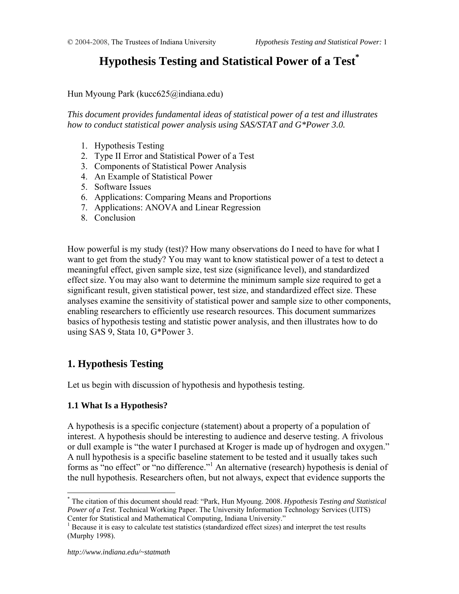# **Hypothesis Testing and Statistical Power of a Test\***

Hun Myoung Park (kucc625@indiana.edu)

*This document provides fundamental ideas of statistical power of a test and illustrates how to conduct statistical power analysis using SAS/STAT and G\*Power 3.0.* 

- 1. Hypothesis Testing
- 2. Type II Error and Statistical Power of a Test
- 3. Components of Statistical Power Analysis
- 4. An Example of Statistical Power
- 5. Software Issues
- 6. Applications: Comparing Means and Proportions
- 7. Applications: ANOVA and Linear Regression
- 8. Conclusion

How powerful is my study (test)? How many observations do I need to have for what I want to get from the study? You may want to know statistical power of a test to detect a meaningful effect, given sample size, test size (significance level), and standardized effect size. You may also want to determine the minimum sample size required to get a significant result, given statistical power, test size, and standardized effect size. These analyses examine the sensitivity of statistical power and sample size to other components, enabling researchers to efficiently use research resources. This document summarizes basics of hypothesis testing and statistic power analysis, and then illustrates how to do using SAS 9, Stata 10, G\*Power 3.

# **1. Hypothesis Testing**

Let us begin with discussion of hypothesis and hypothesis testing.

## **1.1 What Is a Hypothesis?**

A hypothesis is a specific conjecture (statement) about a property of a population of interest. A hypothesis should be interesting to audience and deserve testing. A frivolous or dull example is "the water I purchased at Kroger is made up of hydrogen and oxygen." A null hypothesis is a specific baseline statement to be tested and it usually takes such forms as "no effect" or "no difference."<sup>1</sup> An alternative (research) hypothesis is denial of the null hypothesis. Researchers often, but not always, expect that evidence supports the

 $\overline{a}$ 

<sup>\*</sup> The citation of this document should read: "Park, Hun Myoung. 2008. *Hypothesis Testing and Statistical Power of a Test*. Technical Working Paper. The University Information Technology Services (UITS) Center for Statistical and Mathematical Computing, Indiana University." 1

<sup>&</sup>lt;sup>1</sup> Because it is easy to calculate test statistics (standardized effect sizes) and interpret the test results (Murphy 1998).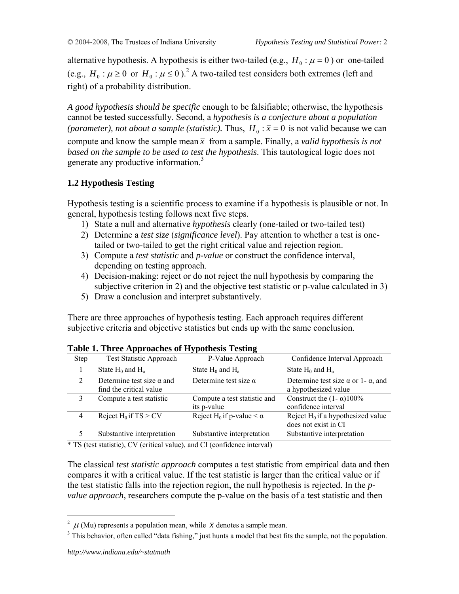alternative hypothesis. A hypothesis is either two-tailed (e.g.,  $H_0 : \mu = 0$ ) or one-tailed (e.g.,  $H_0: \mu \ge 0$  or  $H_0: \mu \le 0$ ).<sup>2</sup> A two-tailed test considers both extremes (left and right) of a probability distribution.

*A good hypothesis should be specific* enough to be falsifiable; otherwise, the hypothesis cannot be tested successfully. Second, a *hypothesis is a conjecture about a population (parameter), not about a sample (statistic).* Thus,  $H_0 : \bar{x} = 0$  is not valid because we can compute and know the sample mean  $\bar{x}$  from a sample. Finally, a *valid hypothesis is not based on the sample to be used to test the hypothesis*. This tautological logic does not generate any productive information.<sup>3</sup>

## **1.2 Hypothesis Testing**

Hypothesis testing is a scientific process to examine if a hypothesis is plausible or not. In general, hypothesis testing follows next five steps.

- 1) State a null and alternative *hypothesis* clearly (one-tailed or two-tailed test)
- 2) Determine a *test size* (*significance level*). Pay attention to whether a test is onetailed or two-tailed to get the right critical value and rejection region.
- 3) Compute a *test statistic* and *p-value* or construct the confidence interval, depending on testing approach.
- 4) Decision-making: reject or do not reject the null hypothesis by comparing the subjective criterion in 2) and the objective test statistic or p-value calculated in 3)
- 5) Draw a conclusion and interpret substantively.

There are three approaches of hypothesis testing. Each approach requires different subjective criteria and objective statistics but ends up with the same conclusion.

| <b>Step</b> | <b>Test Statistic Approach</b>                              | P-Value Approach                              | Confidence Interval Approach                                              |
|-------------|-------------------------------------------------------------|-----------------------------------------------|---------------------------------------------------------------------------|
|             | State $H_0$ and $H_a$                                       | State $H_0$ and $H_a$                         | State $H_0$ and $H_a$                                                     |
| 2           | Determine test size $\alpha$ and<br>find the critical value | Determine test size $\alpha$                  | Determine test size $\alpha$ or 1- $\alpha$ , and<br>a hypothesized value |
|             | Compute a test statistic                                    | Compute a test statistic and<br>its p-value   | Construct the $(1 - \alpha)100\%$<br>confidence interval                  |
| 4           | Reject $H_0$ if TS > CV                                     | Reject H <sub>0</sub> if p-value $\lt \alpha$ | Reject $H_0$ if a hypothesized value<br>does not exist in CI              |
| 5           | Substantive interpretation                                  | Substantive interpretation                    | Substantive interpretation                                                |

**Table 1. Three Approaches of Hypothesis Testing** 

\* TS (test statistic), CV (critical value), and CI (confidence interval)

The classical *test statistic approach* computes a test statistic from empirical data and then compares it with a critical value. If the test statistic is larger than the critical value or if the test statistic falls into the rejection region, the null hypothesis is rejected. In the *pvalue approach*, researchers compute the p-value on the basis of a test statistic and then

 $\overline{a}$ 

<sup>&</sup>lt;sup>2</sup>  $\mu$  (Mu) represents a population mean, while  $\bar{x}$  denotes a sample mean.<br><sup>3</sup> This behavior, often called "data fishing" just hunta a model that heat fit

 $3$  This behavior, often called "data fishing," just hunts a model that best fits the sample, not the population.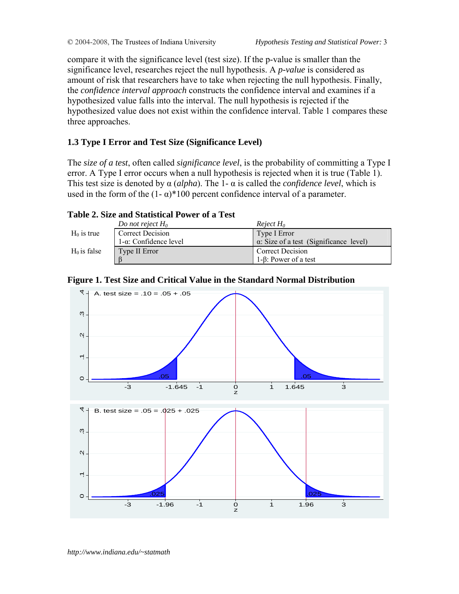compare it with the significance level (test size). If the p-value is smaller than the significance level, researches reject the null hypothesis. A *p-value* is considered as amount of risk that researchers have to take when rejecting the null hypothesis. Finally, the *confidence interval approach* constructs the confidence interval and examines if a hypothesized value falls into the interval. The null hypothesis is rejected if the hypothesized value does not exist within the confidence interval. Table 1 compares these three approaches.

## **1.3 Type I Error and Test Size (Significance Level)**

The *size of a test*, often called *significance level*, is the probability of committing a Type I error. A Type I error occurs when a null hypothesis is rejected when it is true (Table 1). This test size is denoted by α (*alpha*). The 1- α is called the *confidence level*, which is used in the form of the  $(1 - \alpha)^*100$  percent confidence interval of a parameter.

## **Table 2. Size and Statistical Power of a Test**

|                | Do not reject $H_0$           | Reject $H_0$                                   |
|----------------|-------------------------------|------------------------------------------------|
| $H_0$ is true  | Correct Decision              | Type I Error                                   |
|                | $1-\alpha$ : Confidence level | $\alpha$ : Size of a test (Significance level) |
| $H_0$ is false | Type II Error                 | Correct Decision                               |
|                |                               | $1-8$ : Power of a test                        |





*http://www.indiana.edu/~statmath*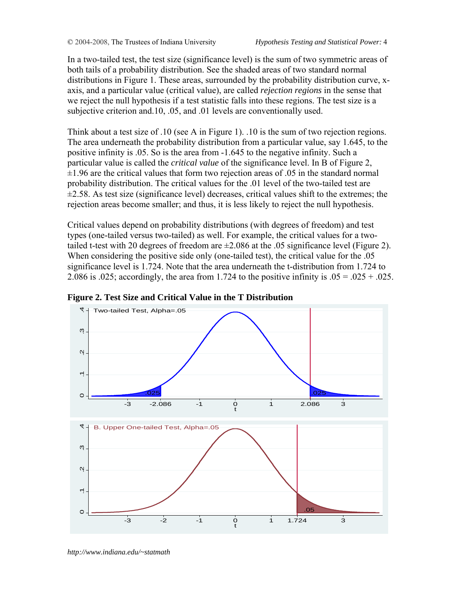In a two-tailed test, the test size (significance level) is the sum of two symmetric areas of both tails of a probability distribution. See the shaded areas of two standard normal distributions in Figure 1. These areas, surrounded by the probability distribution curve, xaxis, and a particular value (critical value), are called *rejection regions* in the sense that we reject the null hypothesis if a test statistic falls into these regions. The test size is a subjective criterion and.10, .05, and .01 levels are conventionally used.

Think about a test size of .10 (see A in Figure 1). .10 is the sum of two rejection regions. The area underneath the probability distribution from a particular value, say 1.645, to the positive infinity is .05. So is the area from -1.645 to the negative infinity. Such a particular value is called the *critical value* of the significance level. In B of Figure 2,  $\pm 1.96$  are the critical values that form two rejection areas of .05 in the standard normal probability distribution. The critical values for the .01 level of the two-tailed test are  $\pm$ 2.58. As test size (significance level) decreases, critical values shift to the extremes; the rejection areas become smaller; and thus, it is less likely to reject the null hypothesis.

Critical values depend on probability distributions (with degrees of freedom) and test types (one-tailed versus two-tailed) as well. For example, the critical values for a twotailed t-test with 20 degrees of freedom are  $\pm 2.086$  at the .05 significance level (Figure 2). When considering the positive side only (one-tailed test), the critical value for the .05 significance level is 1.724. Note that the area underneath the t-distribution from 1.724 to 2.086 is .025; accordingly, the area from 1.724 to the positive infinity is  $.05 = .025 + .025$ .



**Figure 2. Test Size and Critical Value in the T Distribution** 

*http://www.indiana.edu/~statmath*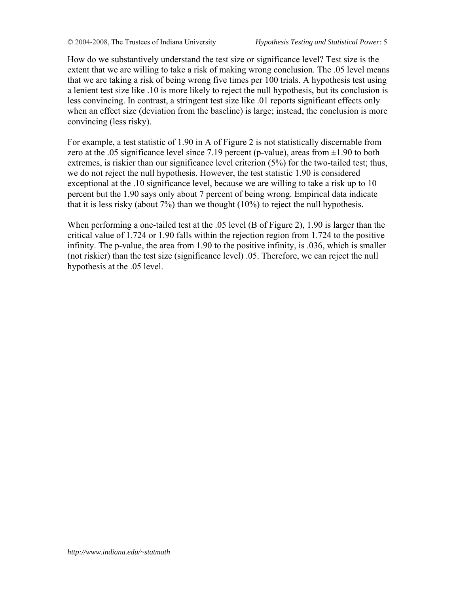How do we substantively understand the test size or significance level? Test size is the extent that we are willing to take a risk of making wrong conclusion. The .05 level means that we are taking a risk of being wrong five times per 100 trials. A hypothesis test using a lenient test size like .10 is more likely to reject the null hypothesis, but its conclusion is less convincing. In contrast, a stringent test size like .01 reports significant effects only when an effect size (deviation from the baseline) is large; instead, the conclusion is more convincing (less risky).

For example, a test statistic of 1.90 in A of Figure 2 is not statistically discernable from zero at the .05 significance level since 7.19 percent (p-value), areas from  $\pm 1.90$  to both extremes, is riskier than our significance level criterion (5%) for the two-tailed test; thus, we do not reject the null hypothesis. However, the test statistic 1.90 is considered exceptional at the .10 significance level, because we are willing to take a risk up to 10 percent but the 1.90 says only about 7 percent of being wrong. Empirical data indicate that it is less risky (about  $7\%$ ) than we thought (10%) to reject the null hypothesis.

When performing a one-tailed test at the .05 level (B of Figure 2), 1.90 is larger than the critical value of 1.724 or 1.90 falls within the rejection region from 1.724 to the positive infinity. The p-value, the area from 1.90 to the positive infinity, is .036, which is smaller (not riskier) than the test size (significance level) .05. Therefore, we can reject the null hypothesis at the .05 level.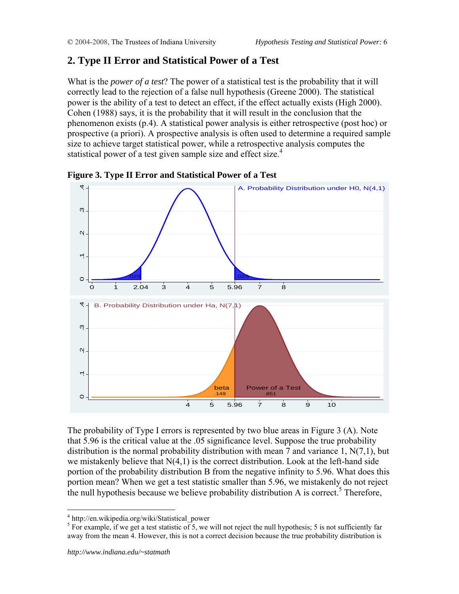# **2. Type II Error and Statistical Power of a Test**

What is the *power of a test*? The power of a statistical test is the probability that it will correctly lead to the rejection of a false null hypothesis (Greene 2000). The statistical power is the ability of a test to detect an effect, if the effect actually exists (High 2000). Cohen (1988) says, it is the probability that it will result in the conclusion that the phenomenon exists (p.4). A statistical power analysis is either retrospective (post hoc) or prospective (a priori). A prospective analysis is often used to determine a required sample size to achieve target statistical power, while a retrospective analysis computes the statistical power of a test given sample size and effect size.<sup>4</sup>



**Figure 3. Type II Error and Statistical Power of a Test** 

The probability of Type I errors is represented by two blue areas in Figure 3 (A). Note that 5.96 is the critical value at the .05 significance level. Suppose the true probability distribution is the normal probability distribution with mean 7 and variance 1, N(7,1), but we mistakenly believe that N(4,1) is the correct distribution. Look at the left-hand side portion of the probability distribution B from the negative infinity to 5.96. What does this portion mean? When we get a test statistic smaller than 5.96, we mistakenly do not reject the null hypothesis because we believe probability distribution A is correct.<sup>5</sup> Therefore,

 $\overline{a}$ 

<sup>4</sup> http://en.wikipedia.org/wiki/Statistical\_power

<sup>&</sup>lt;sup>5</sup> For example, if we get a test statistic of 5, we will not reject the null hypothesis; 5 is not sufficiently far away from the mean 4. However, this is not a correct decision because the true probability distribution is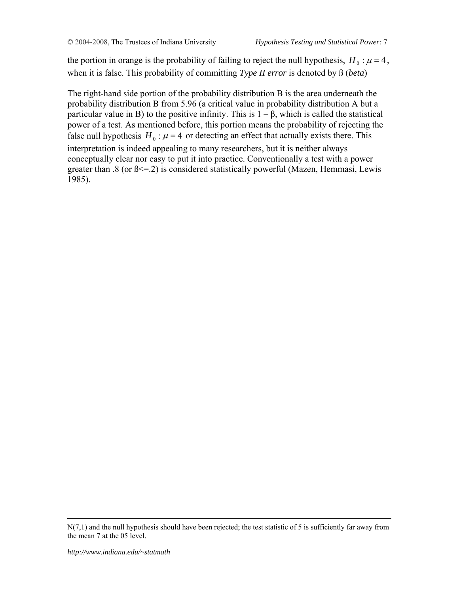the portion in orange is the probability of failing to reject the null hypothesis,  $H_0$ :  $\mu = 4$ , when it is false. This probability of committing *Type II error* is denoted by ß (*beta*)

The right-hand side portion of the probability distribution B is the area underneath the probability distribution B from 5.96 (a critical value in probability distribution A but a particular value in B) to the positive infinity. This is  $1 - \beta$ , which is called the statistical power of a test. As mentioned before, this portion means the probability of rejecting the false null hypothesis  $H_0$ :  $\mu$  = 4 or detecting an effect that actually exists there. This interpretation is indeed appealing to many researchers, but it is neither always conceptually clear nor easy to put it into practice. Conventionally a test with a power greater than  $.8$  (or  $\beta \leq 2$ ) is considered statistically powerful (Mazen, Hemmasi, Lewis 1985).

N(7,1) and the null hypothesis should have been rejected; the test statistic of 5 is sufficiently far away from the mean 7 at the 05 level.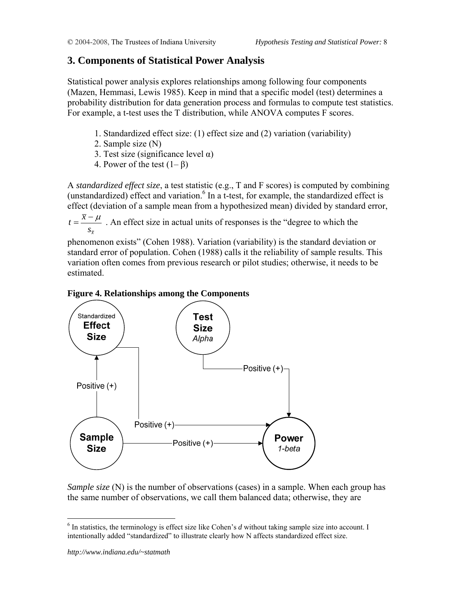## **3. Components of Statistical Power Analysis**

Statistical power analysis explores relationships among following four components (Mazen, Hemmasi, Lewis 1985). Keep in mind that a specific model (test) determines a probability distribution for data generation process and formulas to compute test statistics. For example, a t-test uses the T distribution, while ANOVA computes F scores.

- 1. Standardized effect size: (1) effect size and (2) variation (variability)
- 2. Sample size (N)
- 3. Test size (significance level  $\alpha$ )
- 4. Power of the test  $(1-\beta)$

A *standardized effect size*, a test statistic (e.g., T and F scores) is computed by combining (unstandardized) effect and variation. $6$  In a t-test, for example, the standardized effect is effect (deviation of a sample mean from a hypothesized mean) divided by standard error,

 $S_{\overline{x}}$  $t = \frac{\bar{x} - \mu}{\sqrt{\mu}}$ . An effect size in actual units of responses is the "degree to which the

phenomenon exists" (Cohen 1988). Variation (variability) is the standard deviation or standard error of population. Cohen (1988) calls it the reliability of sample results. This variation often comes from previous research or pilot studies; otherwise, it needs to be estimated.

## **Figure 4. Relationships among the Components**



*Sample size* (N) is the number of observations (cases) in a sample. When each group has the same number of observations, we call them balanced data; otherwise, they are

 $\overline{a}$ 

<sup>&</sup>lt;sup>6</sup> In statistics, the terminology is effect size like Cohen's *d* without taking sample size into account. I intentionally added "standardized" to illustrate clearly how N affects standardized effect size.

*http://www.indiana.edu/~statmath*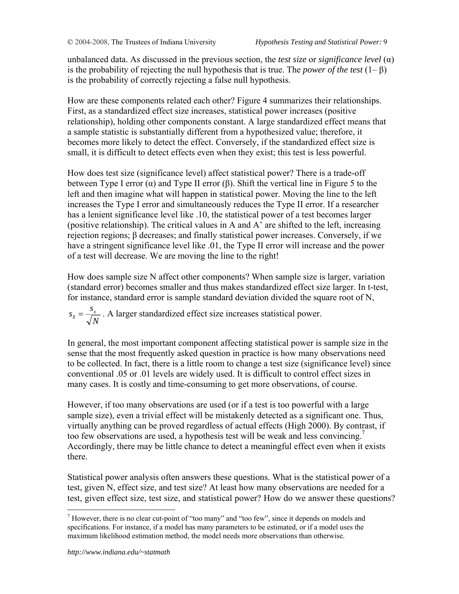unbalanced data. As discussed in the previous section, the *test size* or *significance level* (α) is the probability of rejecting the null hypothesis that is true. The *power of the test* (1– β) is the probability of correctly rejecting a false null hypothesis.

How are these components related each other? Figure 4 summarizes their relationships. First, as a standardized effect size increases, statistical power increases (positive relationship), holding other components constant. A large standardized effect means that a sample statistic is substantially different from a hypothesized value; therefore, it becomes more likely to detect the effect. Conversely, if the standardized effect size is small, it is difficult to detect effects even when they exist; this test is less powerful.

How does test size (significance level) affect statistical power? There is a trade-off between Type I error  $(\alpha)$  and Type II error  $(\beta)$ . Shift the vertical line in Figure 5 to the left and then imagine what will happen in statistical power. Moving the line to the left increases the Type I error and simultaneously reduces the Type II error. If a researcher has a lenient significance level like .10, the statistical power of a test becomes larger (positive relationship). The critical values in A and A' are shifted to the left, increasing rejection regions; β decreases; and finally statistical power increases. Conversely, if we have a stringent significance level like .01, the Type II error will increase and the power of a test will decrease. We are moving the line to the right!

How does sample size N affect other components? When sample size is larger, variation (standard error) becomes smaller and thus makes standardized effect size larger. In t-test, for instance, standard error is sample standard deviation divided the square root of N,

*N*  $s_{\overline{x}} = \frac{s_{\overline{x}}}{\sqrt{N}}$ . A larger standardized effect size increases statistical power.

In general, the most important component affecting statistical power is sample size in the sense that the most frequently asked question in practice is how many observations need to be collected. In fact, there is a little room to change a test size (significance level) since conventional .05 or .01 levels are widely used. It is difficult to control effect sizes in many cases. It is costly and time-consuming to get more observations, of course.

However, if too many observations are used (or if a test is too powerful with a large sample size), even a trivial effect will be mistakenly detected as a significant one. Thus, virtually anything can be proved regardless of actual effects (High 2000). By contrast, if too few observations are used, a hypothesis test will be weak and less convincing.<sup>7</sup> Accordingly, there may be little chance to detect a meaningful effect even when it exists there.

Statistical power analysis often answers these questions. What is the statistical power of a test, given N, effect size, and test size? At least how many observations are needed for a test, given effect size, test size, and statistical power? How do we answer these questions?

1

<sup>&</sup>lt;sup>7</sup> However, there is no clear cut-point of "too many" and "too few", since it depends on models and specifications. For instance, if a model has many parameters to be estimated, or if a model uses the maximum likelihood estimation method, the model needs more observations than otherwise.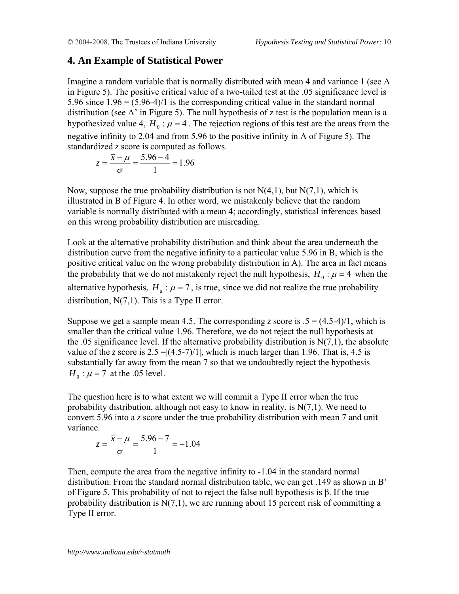## **4. An Example of Statistical Power**

Imagine a random variable that is normally distributed with mean 4 and variance 1 (see A in Figure 5). The positive critical value of a two-tailed test at the .05 significance level is 5.96 since  $1.96 = (5.96-4)/1$  is the corresponding critical value in the standard normal distribution (see A' in Figure 5). The null hypothesis of z test is the population mean is a hypothesized value 4,  $H_0$ :  $\mu$  = 4. The rejection regions of this test are the areas from the negative infinity to 2.04 and from 5.96 to the positive infinity in A of Figure 5). The standardized *z* score is computed as follows.

$$
z = \frac{\overline{x} - \mu}{\sigma} = \frac{5.96 - 4}{1} = 1.96
$$

Now, suppose the true probability distribution is not  $N(4,1)$ , but  $N(7,1)$ , which is illustrated in B of Figure 4. In other word, we mistakenly believe that the random variable is normally distributed with a mean 4; accordingly, statistical inferences based on this wrong probability distribution are misreading.

Look at the alternative probability distribution and think about the area underneath the distribution curve from the negative infinity to a particular value 5.96 in B, which is the positive critical value on the wrong probability distribution in A). The area in fact means the probability that we do not mistakenly reject the null hypothesis,  $H_0$ :  $\mu$  = 4 when the alternative hypothesis,  $H_a$ :  $\mu$  = 7, is true, since we did not realize the true probability distribution,  $N(7,1)$ . This is a Type II error.

Suppose we get a sample mean 4.5. The corresponding *z* score is  $.5 = (4.5-4)/1$ , which is smaller than the critical value 1.96. Therefore, we do not reject the null hypothesis at the .05 significance level. If the alternative probability distribution is  $N(7,1)$ , the absolute value of the *z* score is  $2.5 = (4.5-7)/1$ , which is much larger than 1.96. That is, 4.5 is substantially far away from the mean 7 so that we undoubtedly reject the hypothesis  $H_0$ :  $\mu$  = 7 at the .05 level.

The question here is to what extent we will commit a Type II error when the true probability distribution, although not easy to know in reality, is  $N(7,1)$ . We need to convert 5.96 into a *z* score under the true probability distribution with mean 7 and unit variance.

$$
z = \frac{\overline{x} - \mu}{\sigma} = \frac{5.96 - 7}{1} = -1.04
$$

Then, compute the area from the negative infinity to -1.04 in the standard normal distribution. From the standard normal distribution table, we can get .149 as shown in B' of Figure 5. This probability of not to reject the false null hypothesis is β. If the true probability distribution is  $N(7,1)$ , we are running about 15 percent risk of committing a Type II error.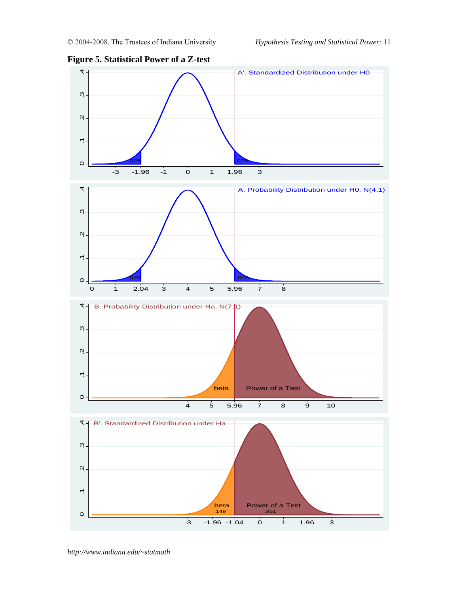

**Figure 5. Statistical Power of a Z-test**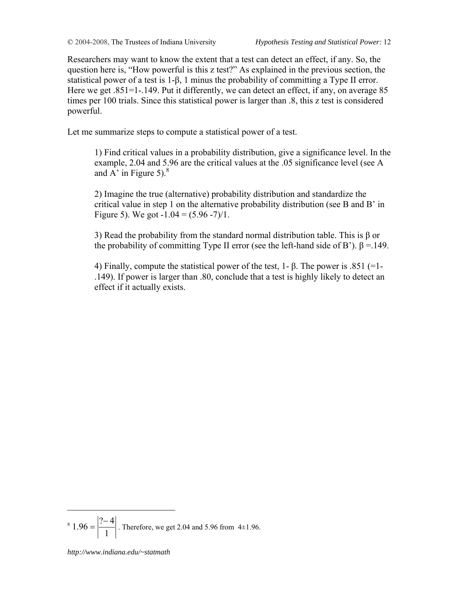Researchers may want to know the extent that a test can detect an effect, if any. So, the question here is, "How powerful is this z test?" As explained in the previous section, the statistical power of a test is 1-β, 1 minus the probability of committing a Type II error. Here we get .851=1-.149. Put it differently, we can detect an effect, if any, on average 85 times per 100 trials. Since this statistical power is larger than .8, this z test is considered powerful.

Let me summarize steps to compute a statistical power of a test.

1) Find critical values in a probability distribution, give a significance level. In the example, 2.04 and 5.96 are the critical values at the .05 significance level (see A and  $\overrightarrow{A}$  in Figure 5).<sup>8</sup>

2) Imagine the true (alternative) probability distribution and standardize the critical value in step 1 on the alternative probability distribution (see B and B' in Figure 5). We got  $-1.04 = (5.96 - 7)/1$ .

3) Read the probability from the standard normal distribution table. This is β or the probability of committing Type II error (see the left-hand side of B').  $\beta = 149$ .

4) Finally, compute the statistical power of the test, 1- β. The power is .851 (=1- .149). If power is larger than .80, conclude that a test is highly likely to detect an effect if it actually exists.

<u>.</u>

<sup>8</sup> 1  $1.96 = \frac{|? - 4|}{4}$ . Therefore, we get 2.04 and 5.96 from 4±1.96.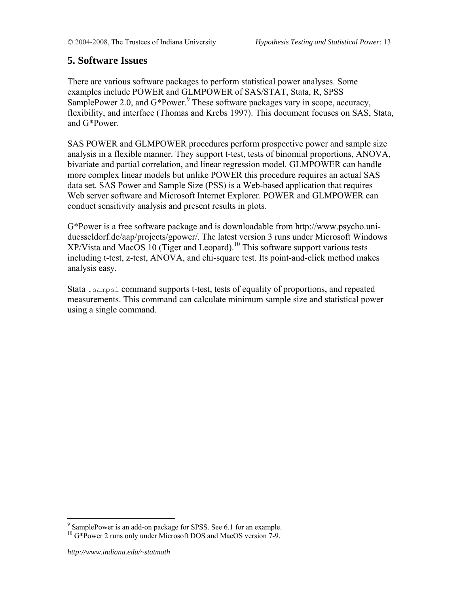## **5. Software Issues**

There are various software packages to perform statistical power analyses. Some examples include POWER and GLMPOWER of SAS/STAT, Stata, R, SPSS SamplePower 2.0, and  $G^*$ Power.<sup>9</sup> These software packages vary in scope, accuracy, flexibility, and interface (Thomas and Krebs 1997). This document focuses on SAS, Stata, and G\*Power.

SAS POWER and GLMPOWER procedures perform prospective power and sample size analysis in a flexible manner. They support t-test, tests of binomial proportions, ANOVA, bivariate and partial correlation, and linear regression model. GLMPOWER can handle more complex linear models but unlike POWER this procedure requires an actual SAS data set. SAS Power and Sample Size (PSS) is a Web-based application that requires Web server software and Microsoft Internet Explorer. POWER and GLMPOWER can conduct sensitivity analysis and present results in plots.

G\*Power is a free software package and is downloadable from http://www.psycho.uniduesseldorf.de/aap/projects/gpower/. The latest version 3 runs under Microsoft Windows XP/Vista and MacOS 10 (Tiger and Leopard).10 This software support various tests including t-test, z-test, ANOVA, and chi-square test. Its point-and-click method makes analysis easy.

Stata .sampsi command supports t-test, tests of equality of proportions, and repeated measurements. This command can calculate minimum sample size and statistical power using a single command.

 $\overline{a}$ 

<sup>&</sup>lt;sup>9</sup> SamplePower is an add-on package for SPSS. See 6.1 for an example.

<sup>&</sup>lt;sup>10</sup> G\*Power 2 runs only under Microsoft DOS and MacOS version 7-9.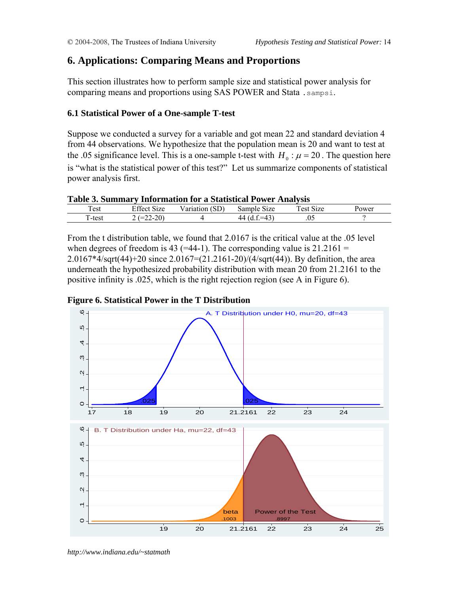## **6. Applications: Comparing Means and Proportions**

This section illustrates how to perform sample size and statistical power analysis for comparing means and proportions using SAS POWER and Stata .sampsi.

## **6.1 Statistical Power of a One-sample T-test**

Suppose we conducted a survey for a variable and got mean 22 and standard deviation 4 from 44 observations. We hypothesize that the population mean is 20 and want to test at the .05 significance level. This is a one-sample t-test with  $H_0$  :  $\mu = 20$ . The question here is "what is the statistical power of this test?" Let us summarize components of statistical power analysis first.

### **Table 3. Summary Information for a Statistical Power Analysis**

| Test                | Effect<br>$\sim$                                                     | SD)       |                                                       | ~<br>`Act        |       |
|---------------------|----------------------------------------------------------------------|-----------|-------------------------------------------------------|------------------|-------|
|                     | S <sub>1</sub> ze                                                    | Variation | Sample<br>Size                                        | 51Z <sub>c</sub> | Power |
| <u>та</u><br>⊺-test | $\Delta$<br>~~<br>$-$<br>$\overline{\phantom{a}}$<br>∠U '<br>.<br>__ |           | $\sim$<br>44<br>$^{\prime\prime}$ (d.i.<br>– 1<br>т., | .05              |       |

From the t distribution table, we found that 2.0167 is the critical value at the .05 level when degrees of freedom is 43 (=44-1). The corresponding value is  $21.2161 =$ 2.0167\*4/sqrt(44)+20 since 2.0167=(21.2161-20)/(4/sqrt(44)). By definition, the area underneath the hypothesized probability distribution with mean 20 from 21.2161 to the positive infinity is .025, which is the right rejection region (see A in Figure 6).





*http://www.indiana.edu/~statmath*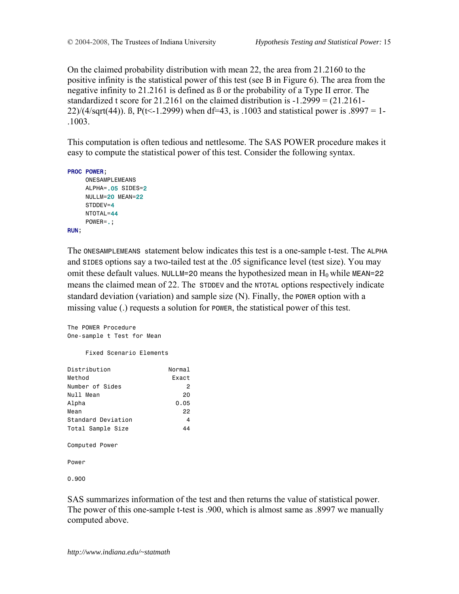On the claimed probability distribution with mean 22, the area from 21.2160 to the positive infinity is the statistical power of this test (see B in Figure 6). The area from the negative infinity to 21.2161 is defined as ß or the probability of a Type II error. The standardized t score for 21.2161 on the claimed distribution is  $-1.2999 = (21.2161 -$ 22)/(4/sqrt(44)). B, P(t<-1.2999) when df=43, is .1003 and statistical power is .8997 = 1-.1003.

This computation is often tedious and nettlesome. The SAS POWER procedure makes it easy to compute the statistical power of this test. Consider the following syntax.

```
PROC POWER;
```

```
 ONESAMPLEMEANS 
      ALPHA=.05 SIDES=2
      NULLM=20 MEAN=22 
      STDDEV=4 
      NTOTAL=44 
      POWER=.; 
RUN;
```
The ONESAMPLEMEANS statement below indicates this test is a one-sample t-test. The ALPHA and SIDES options say a two-tailed test at the .05 significance level (test size). You may omit these default values. NULLM=20 means the hypothesized mean in  $H_0$  while MEAN=22 means the claimed mean of 22. The STDDEV and the NTOTAL options respectively indicate standard deviation (variation) and sample size (N). Finally, the POWER option with a missing value (.) requests a solution for POWER, the statistical power of this test.

```
The POWER Procedure 
One-sample t Test for Mean
```
Fixed Scenario Elements

| Distribution       | Normal |
|--------------------|--------|
| Method             | Fxact  |
| Number of Sides    | 2      |
| Null Mean          | 20     |
| Alpha              | 0.05   |
| Mean               | 22     |
| Standard Deviation | 4      |
| Total Sample Size  | 44     |
| Computed Power     |        |
| Power              |        |

0.900

SAS summarizes information of the test and then returns the value of statistical power. The power of this one-sample t-test is .900, which is almost same as .8997 we manually computed above.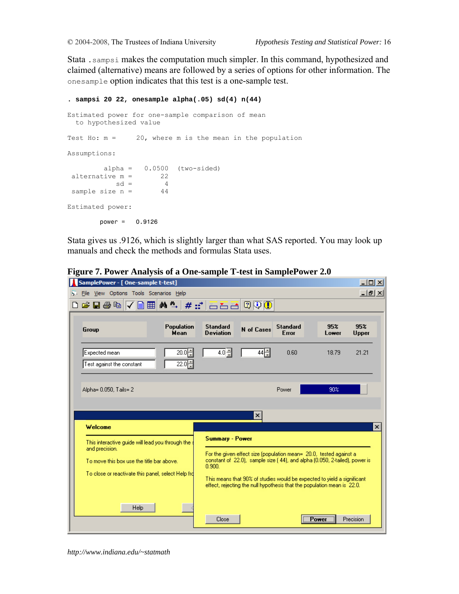Stata .sampsi makes the computation much simpler. In this command, hypothesized and claimed (alternative) means are followed by a series of options for other information. The onesample option indicates that this test is a one-sample test.

```
. sampsi 20 22, onesample alpha(.05) sd(4) n(44) 
Estimated power for one-sample comparison of mean 
  to hypothesized value 
Test Ho: m = 20, where m is the mean in the population
Assumptions: 
        alpha = 0.0500 (two-sided)
alternative m = 22
           sd = 4sample size n = 44
Estimated power: 
        power = 0.9126
```
Stata gives us .9126, which is slightly larger than what SAS reported. You may look up manuals and check the methods and formulas Stata uses.



**Figure 7. Power Analysis of a One-sample T-test in SamplePower 2.0** 

*http://www.indiana.edu/~statmath*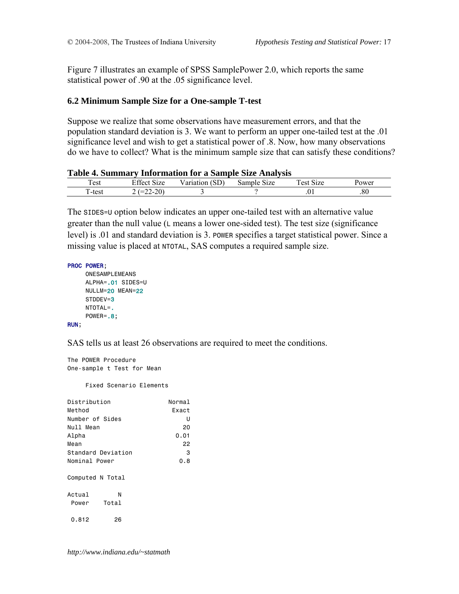Figure 7 illustrates an example of SPSS SamplePower 2.0, which reports the same statistical power of .90 at the .05 significance level.

### **6.2 Minimum Sample Size for a One-sample T-test**

Suppose we realize that some observations have measurement errors, and that the population standard deviation is 3. We want to perform an upper one-tailed test at the .01 significance level and wish to get a statistical power of .8. Now, how many observations do we have to collect? What is the minimum sample size that can satisfy these conditions?

### **Table 4. Summary Information for a Sample Size Analysis**

| $\mathbf{r}$<br>l est | $\sim$ $\cdot$<br>$\Gamma$ $\alpha$<br>S <sub>1</sub> ze<br>±ttect | - -<br>$\alpha$ $\mathbf{r}$<br>Variation<br>ىرە | $\sim$<br>Samp<br>Size<br>DІЄ | $\sim\cdot$<br>$\sim$<br>`≙ct<br>size | Power |
|-----------------------|--------------------------------------------------------------------|--------------------------------------------------|-------------------------------|---------------------------------------|-------|
| $\sim$<br>'-test      | nn.<br>- -<br>$-$<br>$\overline{\phantom{a}}$<br>.<br>∸∠∪ '<br>__  |                                                  |                               | .v.                                   | .80   |

The SIDES=U option below indicates an upper one-tailed test with an alternative value greater than the null value (L means a lower one-sided test). The test size (significance level) is .01 and standard deviation is 3. POWER specifies a target statistical power. Since a missing value is placed at NTOTAL, SAS computes a required sample size.

```
PROC POWER;
```

```
 ONESAMPLEMEANS 
 ALPHA=.01 SIDES=U 
 NULLM=20 MEAN=22 
 STDDEV=3 
 NTOTAL=. 
POWER=.8;
```
#### RUN;

SAS tells us at least 26 observations are required to meet the conditions.

```
The POWER Procedure 
One-sample t Test for Mean
```
Fixed Scenario Elements

| Distribution       | Normal |
|--------------------|--------|
| Method             | Fxact  |
| Number of Sides    | U      |
| Null Mean          | 20     |
| Alpha              | 0.01   |
| Mean               | 22     |
| Standard Deviation | з      |
| Nominal Power      | 0.8    |
| Computed N Total   |        |
| Actual<br>N        |        |
| Total<br>Power     |        |
| 0.812<br>26        |        |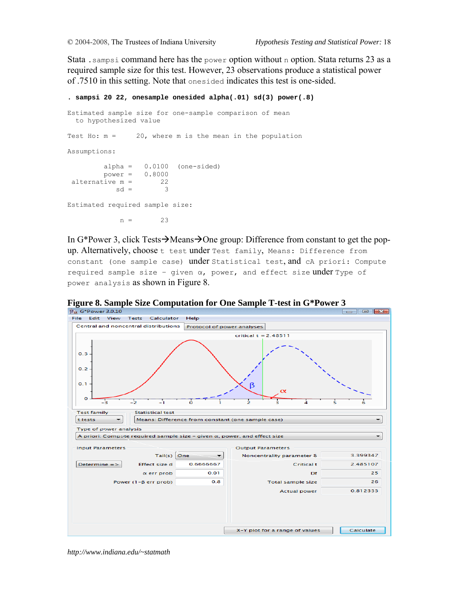Stata .sampsi command here has the power option without n option. Stata returns 23 as a required sample size for this test. However, 23 observations produce a statistical power of .7510 in this setting. Note that onesided indicates this test is one-sided.

```
. sampsi 20 22, onesample onesided alpha(.01) sd(3) power(.8) 
Estimated sample size for one-sample comparison of mean 
  to hypothesized value 
Test Ho: m = 20, where m is the mean in the population
Assumptions: 
        alpha = 0.0100 (one-sided)<br>power = 0.8000power =alternative m = 22
           sd = 3Estimated required sample size: 
            n = 23
```
In G\*Power 3, click Tests $\rightarrow$ Means $\rightarrow$ One group: Difference from constant to get the popup. Alternatively, choose t test under Test family, Means: Difference from constant (one sample case) under Statistical test, and cA priori: Compute required sample size - given  $\alpha$ , power, and effect size under Type of power analysis as shown in Figure 8.

File Edit View Tests Calculator Help Central and noncentral distributions Protocol of power analyses  $critical t = 2.48511$  $0.3$  $0.2$  $0<sup>1</sup>$ B  $\circ$  $^{-2}$ J, ō **Test family Statistical test** Means: Difference from constant (one sample case) t tests  $\overline{\phantom{0}}$ Type of power analysis A priori: Compute required sample size - given a, power, and effect size **Input Parameters Output Parameters** Tail(s)  $\boxed{\text{One}}$ 3.399347  $\vert$ Noncentrality parameter δ 2.485107  $Determine = >$ 0.6666667 Effect size d **Critical t**  $\alpha$  err prob  $0.01$ Df 25.  $0.8$ 26 Power (1-B err prob) Total sample size **Actual power** 0.812333 X-Y plot for a range of values Calculate

**Figure 8. Sample Size Computation for One Sample T-test in G\*Power 3** 

*http://www.indiana.edu/~statmath*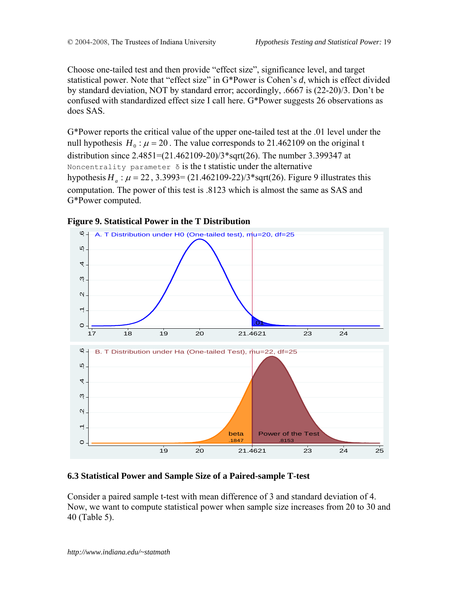Choose one-tailed test and then provide "effect size", significance level, and target statistical power. Note that "effect size" in G\*Power is Cohen's *d*, which is effect divided by standard deviation, NOT by standard error; accordingly, .6667 is (22-20)/3. Don't be confused with standardized effect size I call here. G\*Power suggests 26 observations as does SAS.

G\*Power reports the critical value of the upper one-tailed test at the .01 level under the null hypothesis  $H_0$ :  $\mu$  = 20. The value corresponds to 21.462109 on the original t distribution since 2.4851=(21.462109-20)/3\*sqrt(26). The number 3.399347 at Noncentrality parameter  $\delta$  is the t statistic under the alternative hypothesis  $H_a$ :  $\mu$  = 22, 3.3993= (21.462109-22)/3\*sqrt(26). Figure 9 illustrates this computation. The power of this test is .8123 which is almost the same as SAS and G\*Power computed.



### **Figure 9. Statistical Power in the T Distribution**

## **6.3 Statistical Power and Sample Size of a Paired-sample T-test**

Consider a paired sample t-test with mean difference of 3 and standard deviation of 4. Now, we want to compute statistical power when sample size increases from 20 to 30 and 40 (Table 5).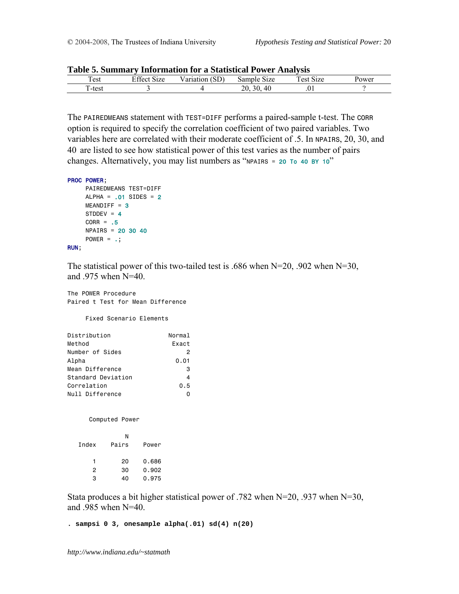| Table 9. Building y Throi mation for a Blaustical I ower Analysis |             |                |             |           |       |  |
|-------------------------------------------------------------------|-------------|----------------|-------------|-----------|-------|--|
| Test                                                              | Effect Size | Variation (SD) | Sample Size | Test Size | ower! |  |
| `-tesi                                                            |             |                | 30.40       | U I       |       |  |

| Table 5. Summary Information for a Statistical Power Analysis |  |  |  |  |
|---------------------------------------------------------------|--|--|--|--|
|---------------------------------------------------------------|--|--|--|--|

The PAIREDMEANS statement with TEST=DIFF performs a paired-sample t-test. The CORR option is required to specify the correlation coefficient of two paired variables. Two variables here are correlated with their moderate coefficient of .5. In NPAIRS, 20, 30, and 40 are listed to see how statistical power of this test varies as the number of pairs changes. Alternatively, you may list numbers as "NPAIRS = 20 To 40 BY 10"

```
PROC POWER;
```

```
 PAIREDMEANS TEST=DIFF 
    ALPHA = .01 SIDES = 2MEANDIFF = 3STDDEV = 4CORR = .5 NPAIRS = 20 30 40 
    Power = .;RUN;
```
The statistical power of this two-tailed test is .686 when  $N=20$ , .902 when  $N=30$ , and .975 when N=40.

The POWER Procedure Paired t Test for Mean Difference

Fixed Scenario Elements

| Distribution       | Normal |
|--------------------|--------|
| Method             | Exact  |
| Number of Sides    | 2      |
| Alpha              | 0.01   |
| Mean Difference    | 3      |
| Standard Deviation | 4      |
| Correlation        | 0.5    |
| Null Difference    |        |

Computed Power

|       | N     |       |
|-------|-------|-------|
| Index | Pairs | Power |
|       |       |       |
| 1     | 20    | 0.686 |
| 2     | 30    | 0.902 |
| з     | 40    | 0.975 |
|       |       |       |

Stata produces a bit higher statistical power of .782 when N=20, .937 when N=30, and .985 when N=40.

**. sampsi 0 3, onesample alpha(.01) sd(4) n(20)**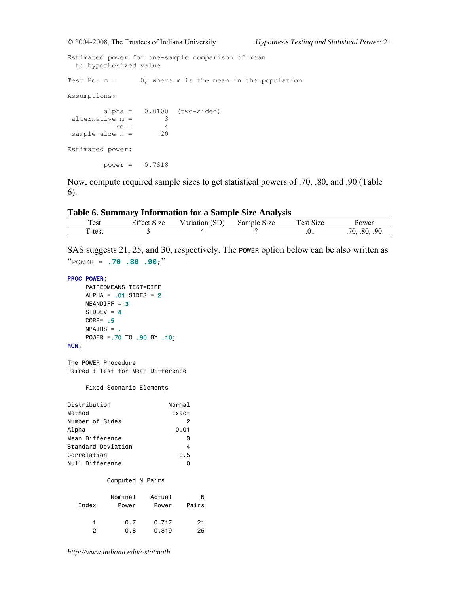Estimated power for one-sample comparison of mean to hypothesized value Test Ho:  $m = 0$ , where m is the mean in the population Assumptions: alpha = 0.0100 (two-sided) alternative m = 3  $sd = 4$ sample size n = 20 Estimated power: power = 0.7818

Now, compute required sample sizes to get statistical powers of .70, .80, and .90 (Table 6).

#### **Table 6. Summary Information for a Sample Size Analysis**

| Table 0. Building y Throi mation for a Bampic Bize Analysis |             |                |             |            |                    |  |
|-------------------------------------------------------------|-------------|----------------|-------------|------------|--------------------|--|
| Test                                                        | Effect Size | Variation (SD) | Sample Size | l'est Size | Power              |  |
| .`-test                                                     |             |                |             | .01        | 80.<br>- 90<br>70. |  |

SAS suggests 21, 25, and 30, respectively. The POWER option below can be also written as "POWER = **.70 .80 .90**;"

```
PROC POWER;
```

```
 PAIREDMEANS TEST=DIFF 
ALPHA = .01 SIDES = 2MEANDIFF = 3STDDEV = 4 CORR= .5
 NPAIRS = . 
 POWER =.70 TO .90 BY .10;
```
#### RUN;

The POWER Procedure Paired t Test for Mean Difference

Fixed Scenario Elements

| Distribution       | Normal |
|--------------------|--------|
| Method             | Exact  |
| Number of Sides    | 2      |
| Alpha              | 0.01   |
| Mean Difference    | 3      |
| Standard Deviation | 4      |
| Correlation        | 0.5    |
| Null Difference    |        |

#### Computed N Pairs

|       | Nominal | Actual | N     |
|-------|---------|--------|-------|
| Index | Power   | Power  | Pairs |
|       |         |        |       |
| 1     | 0.7     | 0.717  | 21    |
| 2     | 0.8     | 0.819  | 25    |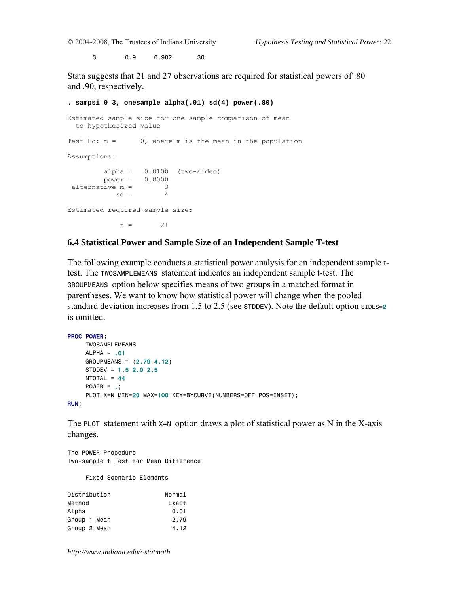3 0.9 0.902 30

Stata suggests that 21 and 27 observations are required for statistical powers of .80 and .90, respectively.

**. sampsi 0 3, onesample alpha(.01) sd(4) power(.80)**  Estimated sample size for one-sample comparison of mean to hypothesized value Test Ho:  $m = 0$ , where m is the mean in the population Assumptions:  $alpha = 0.0100$  (two-sided) power =  $0.8000$ <br>tive m =  $3$ alternative  $m =$  3<br>sd = 4  $sd =$ Estimated required sample size:  $n = 21$ 

### **6.4 Statistical Power and Sample Size of an Independent Sample T-test**

The following example conducts a statistical power analysis for an independent sample ttest. The TWOSAMPLEMEANS statement indicates an independent sample t-test. The GROUPMEANS option below specifies means of two groups in a matched format in parentheses. We want to know how statistical power will change when the pooled standard deviation increases from 1.5 to 2.5 (see STDDEV). Note the default option sides-2 is omitted.

```
PROC POWER; 
      TWOSAMPLEMEANS 
    ALPHA = .01 GROUPMEANS = (2.79 4.12) 
     STDDEV = 1.5 2.0 2.5 
    NTOTAL = 44Power = .; PLOT X=N MIN=20 MAX=100 KEY=BYCURVE(NUMBERS=OFF POS=INSET); 
RUN;
```
The PLOT statement with  $x=N$  option draws a plot of statistical power as N in the X-axis changes.

```
The POWER Procedure 
Two-sample t Test for Mean Difference
```
Fixed Scenario Elements

| Normal |
|--------|
| Exact  |
| 0.01   |
| 2.79   |
| 4.12   |
|        |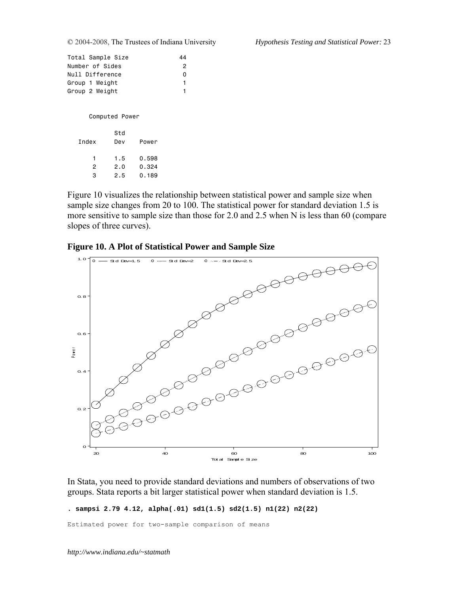| Total Sample Size |    |
|-------------------|----|
| Number of Sides   | 2  |
| Null Difference   | O  |
| Group 1 Weight    | 1. |
| Group 2 Weight    | 1. |
|                   |    |

Computed Power

| Index | Std<br>Dev | Power |
|-------|------------|-------|
| 1     | 1.5        | 0.598 |
| 2     | 2.0        | 0.324 |
| з     | 2.5        | 0.189 |

Figure 10 visualizes the relationship between statistical power and sample size when sample size changes from 20 to 100. The statistical power for standard deviation 1.5 is more sensitive to sample size than those for 2.0 and 2.5 when N is less than 60 (compare slopes of three curves).

**Figure 10. A Plot of Statistical Power and Sample Size** 



In Stata, you need to provide standard deviations and numbers of observations of two groups. Stata reports a bit larger statistical power when standard deviation is 1.5.

**. sampsi 2.79 4.12, alpha(.01) sd1(1.5) sd2(1.5) n1(22) n2(22)** 

Estimated power for two-sample comparison of means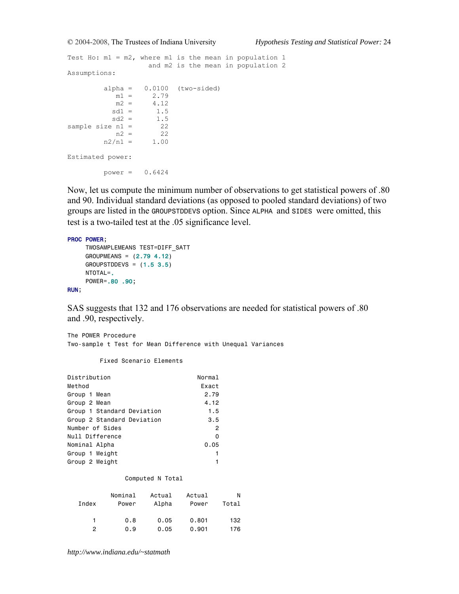```
Test Ho: m1 = m2, where m1 is the mean in population 1
                 and m2 is the mean in population 2 
Assumptions: 
       alpha = 0.0100 (two-sided)<br>m1 = 2.79m1 = 2.79<br>m2 = 4.12m2 = 4.12<br>sd1 = 1.5sd1 = 1.5sd2 = 1.5sample size n1 = 22
n2 = 22n2/n1 = 1.00Estimated power: 
       power = 0.6424
```
Now, let us compute the minimum number of observations to get statistical powers of .80 and 90. Individual standard deviations (as opposed to pooled standard deviations) of two groups are listed in the GROUPSTDDEVS option. Since ALPHA and SIDES were omitted, this test is a two-tailed test at the .05 significance level.

#### PROC POWER;

```
 TWOSAMPLEMEANS TEST=DIFF_SATT 
      GROUPMEANS = (2.79 4.12) 
     GROUPSTDDEVS = (1.5 3.5) NTOTAL=. 
      POWER=.80 .90; 
RUN;
```
SAS suggests that 132 and 176 observations are needed for statistical powers of .80 and .90, respectively.

The POWER Procedure Two-sample t Test for Mean Difference with Unequal Variances

Fixed Scenario Elements

| Normal         |
|----------------|
| Exact          |
| 2.79           |
| 4.12           |
| 1.5            |
| 3.5            |
| $\overline{2}$ |
| $\Omega$       |
| 0.05           |
|                |
|                |
|                |

#### Computed N Total

|       | Nominal | Actual | Actual | N     |
|-------|---------|--------|--------|-------|
| Index | Power   | Alpha  | Power  | Total |
|       |         |        |        |       |
| 1.    | 0.8     | 0.05   | 0.801  | 132   |
| 2     | 0.9     | 0.05   | 0.901  | 176   |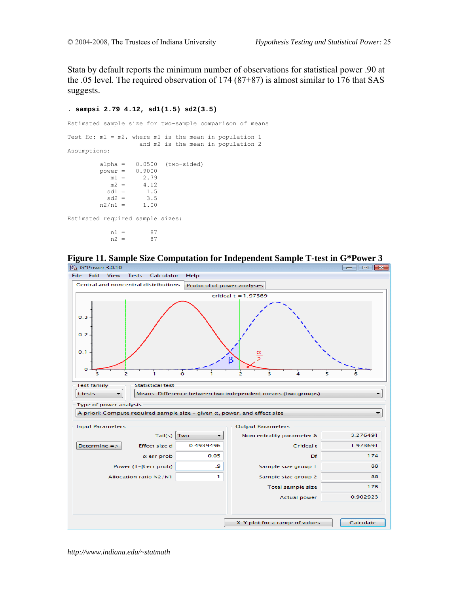Stata by default reports the minimum number of observations for statistical power .90 at the .05 level. The required observation of 174 (87+87) is almost similar to 176 that SAS suggests.

```
. sampsi 2.79 4.12, sd1(1.5) sd2(3.5) 
Estimated sample size for two-sample comparison of means 
Test Ho: m1 = m2, where m1 is the mean in population 1
                      and m2 is the mean in population 2 
Assumptions: 
         alpha = 0.0500 (two-sided)<br>power = 0.9000power = m1 =2.79
            m2 = 4.12sd1 = 1.5<br>sd2 = 3.5sd2 =n2/n1 = 1.00Estimated required sample sizes:
```
 $n1 = 87$ <br> $n2 = 87$  $n2 =$ 



**Figure 11. Sample Size Computation for Independent Sample T-test in G\*Power 3** 

*http://www.indiana.edu/~statmath*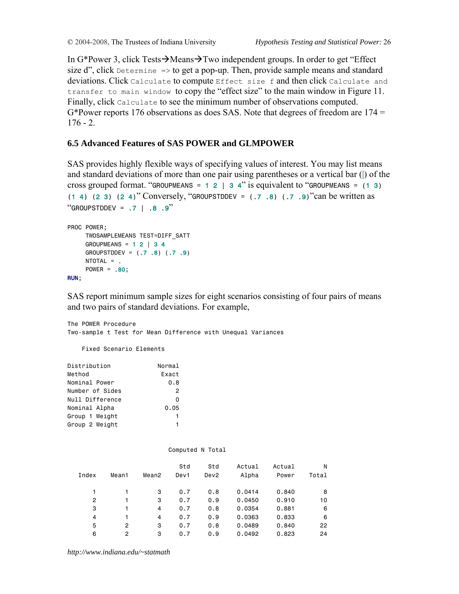In G\*Power 3, click Tests $\rightarrow$ Means $\rightarrow$ Two independent groups. In order to get "Effect" size  $d''$ , click Determine => to get a pop-up. Then, provide sample means and standard deviations. Click Calculate to compute Effect size f and then click Calculate and transfer to main window to copy the "effect size" to the main window in Figure 11. Finally, click Calculate to see the minimum number of observations computed. G\*Power reports 176 observations as does SAS. Note that degrees of freedom are 174 =  $176 - 2$ 

### **6.5 Advanced Features of SAS POWER and GLMPOWER**

SAS provides highly flexible ways of specifying values of interest. You may list means and standard deviations of more than one pair using parentheses or a vertical bar (|) of the cross grouped format. "GROUPMEANS =  $1 2 \mid 3 4$ " is equivalent to "GROUPMEANS =  $(1 3)$ (1 4) (2 3) (2 4)" Conversely, "GROUPSTDDEV = (.7 .8) (.7 .9)"can be written as  $"GROUPSTDDEV = .7 \mid .8 \cdot .9"$ 

```
PROC POWER; 
      TWOSAMPLEMEANS TEST=DIFF_SATT 
     GROUPMEANS = 1 2 \mid 3 4 GROUPSTDDEV = (.7 .8) (.7 .9) 
      NTOTAL = . 
      POWER = .80; 
RUN;
```
SAS report minimum sample sizes for eight scenarios consisting of four pairs of means and two pairs of standard deviations. For example,

The POWER Procedure Two-sample t Test for Mean Difference with Unequal Variances

Fixed Scenario Elements

| Distribution    | Normal         |
|-----------------|----------------|
| Method          | <b>Fxact</b>   |
| Nominal Power   | 0.8            |
| Number of Sides | $\overline{2}$ |
| Null Difference | $\Omega$       |
| Nominal Alpha   | 0.05           |
| Group 1 Weight  | 1              |
| Group 2 Weight  |                |
|                 |                |

|                |       |       |      | Computed N Total |        |        |       |
|----------------|-------|-------|------|------------------|--------|--------|-------|
|                |       |       | Std  | Std              | Actual | Actual | N     |
| Index          | Mean1 | Mean2 | Dev1 | Dev <sub>2</sub> | Alpha  | Power  | Total |
|                |       | 3     | 0.7  | 0.8              | 0.0414 | 0.840  | 8     |
| $\overline{2}$ | 1     | 3     | 0.7  | 0.9              | 0.0450 | 0.910  | 10    |
| 3              | 1     | 4     | 0.7  | 0.8              | 0.0354 | 0.881  | 6     |
| 4              | 1     | 4     | 0.7  | 0.9              | 0.0363 | 0.833  | 6     |
| 5              | 2     | 3     | 0.7  | 0.8              | 0.0489 | 0.840  | 22    |
| 6              | 2     | 3     | 0.7  | 0.9              | 0.0492 | 0.823  | 24    |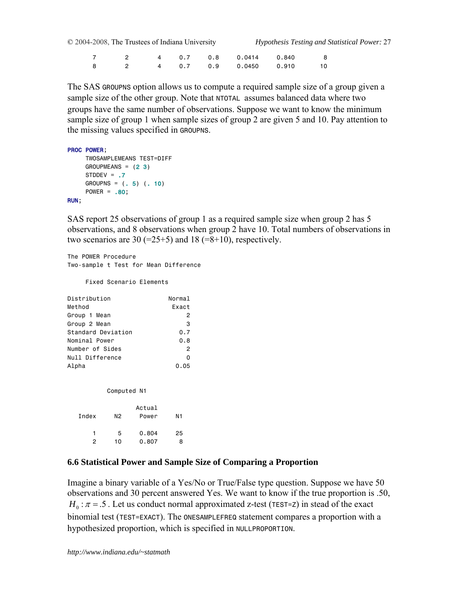7 2 4 0.7 0.8 0.0414 0.840 8 8 2 4 0.7 0.9 0.0450 0.910 10

The SAS GROUPNS option allows us to compute a required sample size of a group given a sample size of the other group. Note that NTOTAL assumes balanced data where two groups have the same number of observations. Suppose we want to know the minimum sample size of group 1 when sample sizes of group 2 are given 5 and 10. Pay attention to the missing values specified in GROUPNS.

```
PROC POWER; 
      TWOSAMPLEMEANS TEST=DIFF 
    GROUPMEANS = (2 3)STDDEV = .7GROUPNS = (. 5) (. 10)POWER = .80;
RUN;
```
SAS report 25 observations of group 1 as a required sample size when group 2 has 5 observations, and 8 observations when group 2 have 10. Total numbers of observations in two scenarios are 30 (=25+5) and 18 (=8+10), respectively.

The POWER Procedure Two-sample t Test for Mean Difference

Fixed Scenario Elements

| Distribution       | Normal         |
|--------------------|----------------|
| Method             | <b>Fxact</b>   |
| Group 1 Mean       | 2              |
| Group 2 Mean       | 3              |
| Standard Deviation | 0.7            |
| Nominal Power      | 0.8            |
| Number of Sides    | $\overline{2}$ |
| Null Difference    | $\Omega$       |
| Alpha              | 0.05           |

| Index | N2 | Actual<br>Power | Ν1 |
|-------|----|-----------------|----|
| 1     | 5  | 0.804           | 25 |
| 2     | 10 | 0.807           | я  |

## **6.6 Statistical Power and Sample Size of Comparing a Proportion**

Imagine a binary variable of a Yes/No or True/False type question. Suppose we have 50 observations and 30 percent answered Yes. We want to know if the true proportion is .50,  $H_0$ :  $\pi$  = .5 . Let us conduct normal approximated z-test (TEST=Z) in stead of the exact binomial test (TEST=EXACT). The ONESAMPLEFREQ statement compares a proportion with a hypothesized proportion, which is specified in NULLPROPORTION.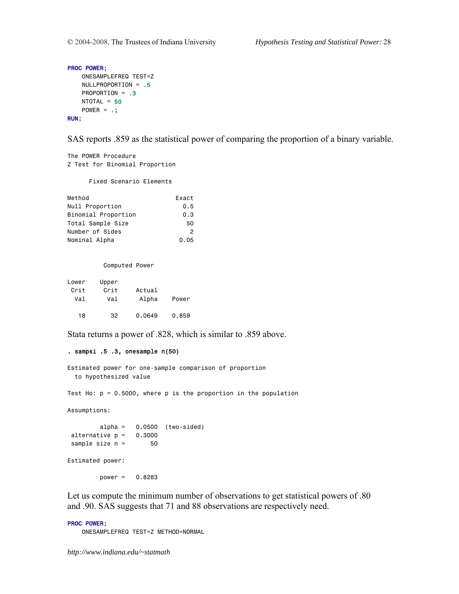```
PROC POWER; 
     ONESAMPLEFREQ TEST=Z 
     NULLPROPORTION = .5 
     PROPORTION = .3
    NTOTAL = 50POWER = \cdot;
RUN;
```
SAS reports .859 as the statistical power of comparing the proportion of a binary variable.

The POWER Procedure Z Test for Binomial Proportion

Fixed Scenario Elements

| Method              | Exact |
|---------------------|-------|
| Null Proportion     | 0.5   |
| Binomial Proportion | 0.3   |
| Total Sample Size   | 50    |
| Number of Sides     | 2     |
| Nominal Alpha       | 0.05  |

#### Computed Power

| Lower | Upper |        |       |
|-------|-------|--------|-------|
| Crit  | Crit  | Actual |       |
| Val   | Val   | Alpha  | Power |
| 18    | 32    | 0.0649 | 0.859 |

Stata returns a power of .828, which is similar to .859 above.

#### . sampsi .5 .3, onesample n(50)

```
Estimated power for one-sample comparison of proportion 
  to hypothesized value
```
Test Ho:  $p = 0.5000$ , where  $p$  is the proportion in the population

Assumptions:

alpha =  $0.0500$  (two-sided) alternative  $p = 0.3000$ sample size  $n = 50$ 

Estimated power:

power = 0.8283

Let us compute the minimum number of observations to get statistical powers of .80 and .90. SAS suggests that 71 and 88 observations are respectively need.

#### PROC POWER;

ONESAMPLEFREQ TEST=Z METHOD=NORMAL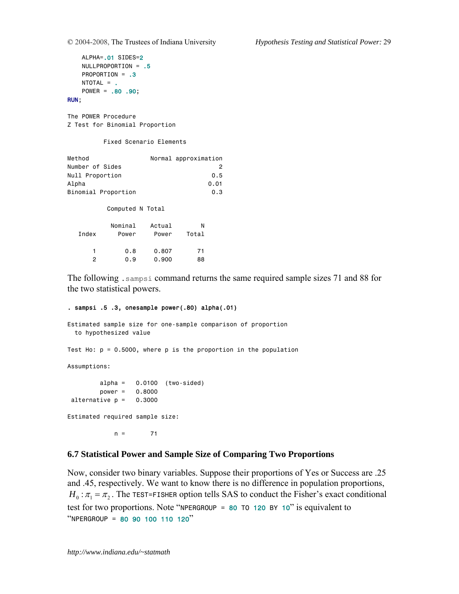```
 ALPHA=.01 SIDES=2
     NULLPROPORTION = .5 
     PROPORTION = .3
     NTOTAL = . 
     POWER = .80 .90; 
RUN;
```
The POWER Procedure Z Test for Binomial Proportion

Fixed Scenario Elements

| Method          |                     |        | Normal approximation |
|-----------------|---------------------|--------|----------------------|
| Number of Sides |                     |        | 2                    |
| Null Proportion |                     |        | 0.5                  |
| Alpha           |                     |        | 0.01                 |
|                 | Binomial Proportion |        | 0.3                  |
|                 |                     |        |                      |
|                 | Computed N Total    |        |                      |
|                 | Nominal             | Actual | N                    |
|                 |                     |        |                      |
| Index           | Power               | Power  | Total                |
|                 |                     |        |                      |
| 1               | 0.8                 | 0.807  | 71                   |
| 2               | 0.9                 | 0.900  | 88                   |
|                 |                     |        |                      |

The following .sampsi command returns the same required sample sizes 71 and 88 for the two statistical powers.

#### . sampsi .5 .3, onesample power(.80) alpha(.01)

Estimated sample size for one-sample comparison of proportion to hypothesized value Test Ho:  $p = 0.5000$ , where  $p$  is the proportion in the population Assumptions:  $alpha = 0.0100$  (two-sided) power = 0.8000 alternative  $p = 0.3000$ Estimated required sample size:

 $n = 71$ 

### **6.7 Statistical Power and Sample Size of Comparing Two Proportions**

Now, consider two binary variables. Suppose their proportions of Yes or Success are .25 and .45, respectively. We want to know there is no difference in population proportions,  $H_0$ :  $\pi_1 = \pi_2$ . The TEST=FISHER option tells SAS to conduct the Fisher's exact conditional test for two proportions. Note "NPERGROUP =  $80$  TO 120 BY 10" is equivalent to "NPERGROUP = 80 90 100 110 120"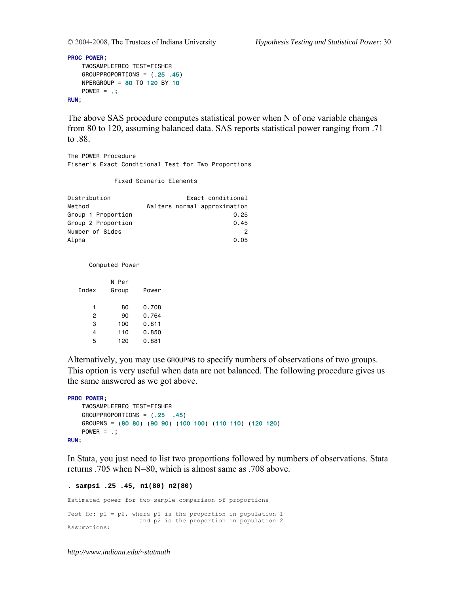PROC POWER;

```
 TWOSAMPLEFREQ TEST=FISHER 
     GROUPPROPORTIONS = (.25 .45) 
     NPERGROUP = 80 TO 120 BY 10 
    Power = .;RUN;
```
The above SAS procedure computes statistical power when N of one variable changes from 80 to 120, assuming balanced data. SAS reports statistical power ranging from .71 to .88.

The POWER Procedure Fisher's Exact Conditional Test for Two Proportions

Fixed Scenario Elements

| Distribution       | Exact conditional            |  |  |
|--------------------|------------------------------|--|--|
| Method             | Walters normal approximation |  |  |
| Group 1 Proportion | 0.25                         |  |  |
| Group 2 Proportion | 0.45                         |  |  |
| Number of Sides    | 2                            |  |  |
| Alpha              | 0.05                         |  |  |

Computed Power

|       | N Per |       |
|-------|-------|-------|
| Index | Group | Power |
|       |       |       |
| 1     | 80    | 0.708 |
| 2     | 90    | 0.764 |
| з     | 100   | 0.811 |
| 4     | 110   | 0.850 |
| 5     | 120   | 0.881 |

Alternatively, you may use GROUPNS to specify numbers of observations of two groups. This option is very useful when data are not balanced. The following procedure gives us the same answered as we got above.

```
PROC POWER; 
    TWOSAMPLEFREQ TEST=FISHER 
     GROUPPROPORTIONS = (.25 .45) 
    GROUPNS = (80 80) (90 90) (100 100) (110 110) (120 120) 
    Power = .RUN;
```
In Stata, you just need to list two proportions followed by numbers of observations. Stata returns .705 when N=80, which is almost same as .708 above.

```
. sampsi .25 .45, n1(80) n2(80) 
Estimated power for two-sample comparison of proportions 
Test Ho: p1 = p2, where p1 is the proportion in population 1
                    and p2 is the proportion in population 2 
Assumptions:
```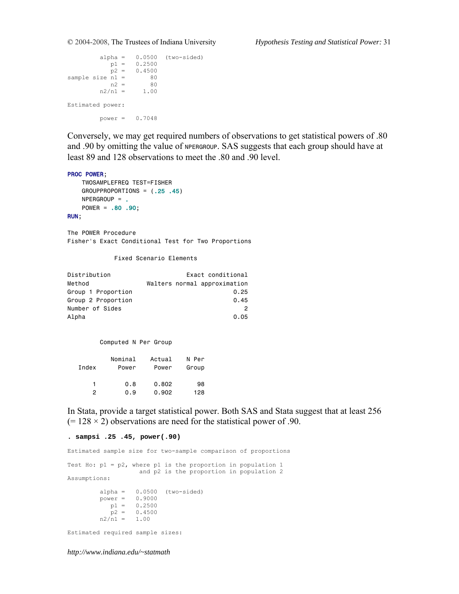```
alpha = 0.0500 (two-sided)
p1 = 0.2500p2 = 0.4500sample size n1 = 80<br>n2 = 80
n2 = 80n2/n1 = 1.00Estimated power: 
       power = 0.7048
```
Conversely, we may get required numbers of observations to get statistical powers of .80 and .90 by omitting the value of NPERGROUP. SAS suggests that each group should have at least 89 and 128 observations to meet the .80 and .90 level.

#### PROC POWER;

```
 TWOSAMPLEFREQ TEST=FISHER 
     GROUPPROPORTIONS = (.25 .45) 
    NPERGROUP = . POWER = .80 .90; 
RUN;
```
The POWER Procedure Fisher's Exact Conditional Test for Two Proportions

#### Fixed Scenario Elements

| Distribution       | Exact conditional            |  |  |  |
|--------------------|------------------------------|--|--|--|
| Method             | Walters normal approximation |  |  |  |
| Group 1 Proportion | 0.25                         |  |  |  |
| Group 2 Proportion | 0.45                         |  |  |  |
| Number of Sides    | 2                            |  |  |  |
| Alpha              | 0.05                         |  |  |  |

#### Computed N Per Group

| Index | Nominal | Actual | N Per |
|-------|---------|--------|-------|
|       | Power   | Power  | Group |
| 1     | 0.8     | 0.802  | 98    |
| 2     | 0.9     | 0.902  | 128   |

In Stata, provide a target statistical power. Both SAS and Stata suggest that at least 256  $(= 128 \times 2)$  observations are need for the statistical power of .90.

**. sampsi .25 .45, power(.90)** 

Estimated sample size for two-sample comparison of proportions Test Ho:  $p1 = p2$ , where  $p1$  is the proportion in population 1 and p2 is the proportion in population 2 Assumptions: alpha = 0.0500 (two-sided) power = 0.9000  $p1 = 0.2500$  $p2 = 0.4500$  $n2/n1 = 1.00$ Estimated required sample sizes: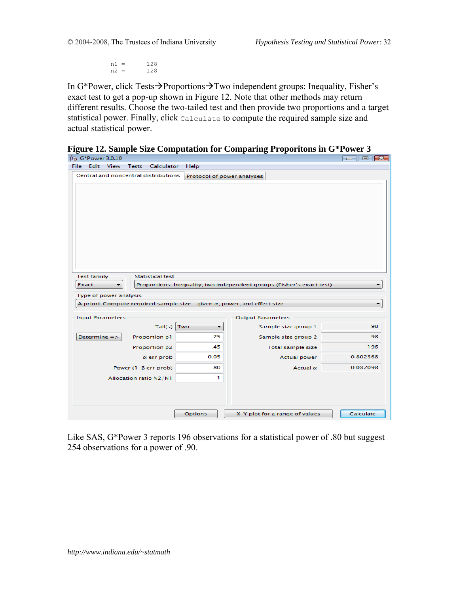$n1 = 128$ <br> $n2 = 128$  $n2 =$ 

In G\*Power, click Tests $\rightarrow$ Proportions $\rightarrow$ Two independent groups: Inequality, Fisher's exact test to get a pop-up shown in Figure 12. Note that other methods may return different results. Choose the two-tailed test and then provide two proportions and a target statistical power. Finally, click Calculate to compute the required sample size and actual statistical power.

|  |  |  |  |  |  |  | Figure 12. Sample Size Computation for Comparing Proporitons in G*Power 3 |  |
|--|--|--|--|--|--|--|---------------------------------------------------------------------------|--|
|  |  |  |  |  |  |  |                                                                           |  |

| $\beta \alpha$ G*Power 3.0.10        |                              |                            |                                                                                  | l o<br>$-23$<br>$\Box$ |
|--------------------------------------|------------------------------|----------------------------|----------------------------------------------------------------------------------|------------------------|
| Edit<br>View<br>File                 | <b>Tests</b><br>Calculator   | Help                       |                                                                                  |                        |
| Central and noncentral distributions |                              | Protocol of power analyses |                                                                                  |                        |
|                                      |                              |                            |                                                                                  |                        |
|                                      |                              |                            |                                                                                  |                        |
|                                      |                              |                            |                                                                                  |                        |
|                                      |                              |                            |                                                                                  |                        |
|                                      |                              |                            |                                                                                  |                        |
|                                      |                              |                            |                                                                                  |                        |
|                                      |                              |                            |                                                                                  |                        |
|                                      |                              |                            |                                                                                  |                        |
|                                      |                              |                            |                                                                                  |                        |
|                                      |                              |                            |                                                                                  |                        |
| <b>Test family</b>                   | <b>Statistical test</b>      |                            |                                                                                  |                        |
| Exact<br>▼                           |                              |                            | Proportions: Inequality, two independent groups (Fisher's exact test)            |                        |
| Type of power analysis               |                              |                            |                                                                                  |                        |
|                                      |                              |                            | A priori: Compute required sample size - given $\alpha$ , power, and effect size |                        |
|                                      |                              |                            |                                                                                  |                        |
| <b>Input Parameters</b>              |                              |                            | <b>Output Parameters</b>                                                         |                        |
|                                      | Tail(s)                      | Two<br>▼                   | Sample size group 1                                                              | 98                     |
| Determine $=$ $>$                    | Proportion p1                | .25                        | Sample size group 2                                                              | 98                     |
|                                      | Proportion p2                | .45                        | Total sample size                                                                | 196                    |
|                                      | $\alpha$ err prob            | 0.05                       | <b>Actual power</b>                                                              | 0.802368               |
|                                      | Power $(1 - \beta$ err prob) | .80                        | Actual $\alpha$                                                                  | 0.037098               |
|                                      | Allocation ratio N2/N1       | ı                          |                                                                                  |                        |
|                                      |                              |                            |                                                                                  |                        |
|                                      |                              |                            |                                                                                  |                        |
|                                      |                              |                            |                                                                                  |                        |
|                                      |                              | Options                    | X-Y plot for a range of values                                                   | Calculate              |

Like SAS, G\*Power 3 reports 196 observations for a statistical power of .80 but suggest 254 observations for a power of .90.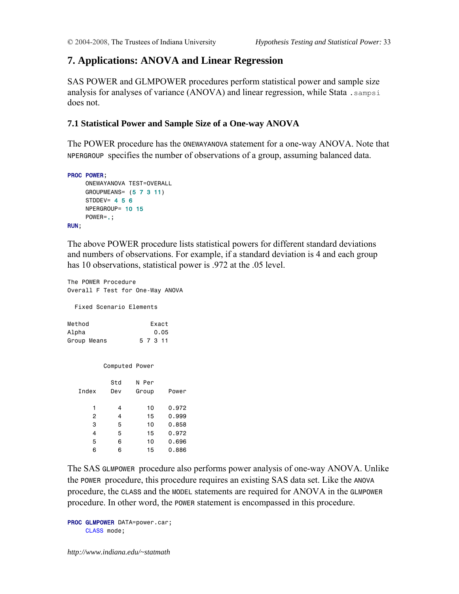## **7. Applications: ANOVA and Linear Regression**

SAS POWER and GLMPOWER procedures perform statistical power and sample size analysis for analyses of variance (ANOVA) and linear regression, while Stata .sampsi does not.

## **7.1 Statistical Power and Sample Size of a One-way ANOVA**

The POWER procedure has the ONEWAYANOVA statement for a one-way ANOVA. Note that NPERGROUP specifies the number of observations of a group, assuming balanced data.

```
PROC POWER; 
      ONEWAYANOVA TEST=OVERALL 
      GROUPMEANS= (5 7 3 11) 
     STDDEV= 4\overline{5}6 NPERGROUP= 10 15 
      POWER=.; 
RUN;
```
The above POWER procedure lists statistical powers for different standard deviations and numbers of observations. For example, if a standard deviation is 4 and each group has 10 observations, statistical power is .972 at the .05 level.

The POWER Procedure Overall F Test for One-Way ANOVA

Fixed Scenario Elements

| Method      | Exact    |
|-------------|----------|
| Alpha       | 0.05     |
| Group Means | 5 7 3 11 |

Computed Power

| Index          | Std<br>Dev | N Per<br>Group | Power |
|----------------|------------|----------------|-------|
| 1              | 4          | 10             | 0.972 |
| $\overline{2}$ | 4          | 15             | 0.999 |
| 3              | 5          | 10             | 0.858 |
| 4              | 5          | 15             | 0.972 |
| 5              | 6          | 10             | 0.696 |
| 6              | 6          | 15             | 0.886 |

The SAS GLMPOWER procedure also performs power analysis of one-way ANOVA. Unlike the POWER procedure, this procedure requires an existing SAS data set. Like the ANOVA procedure, the CLASS and the MODEL statements are required for ANOVA in the GLMPOWER procedure. In other word, the POWER statement is encompassed in this procedure.

```
PROC GLMPOWER DATA=power.car;
     CLASS mode;
```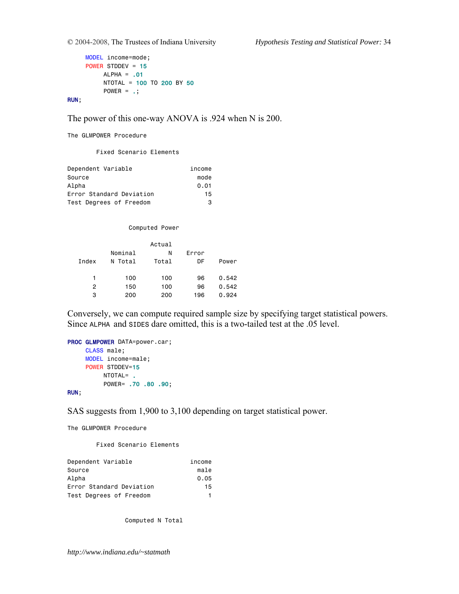```
 MODEL income=mode; 
 POWER STDDEV = 15
     ALPHA = .01 NTOTAL = 100 TO 200 BY 50 
     POWER = \cdot;
```
RUN;

The power of this one-way ANOVA is .924 when N is 200.

The GLMPOWER Procedure

Fixed Scenario Elements

| Dependent Variable       | income |
|--------------------------|--------|
| Source                   | mode   |
| Alpha                    | 0.01   |
| Error Standard Deviation | 15     |
| Test Degrees of Freedom  | з      |

Computed Power

|                |         | Actual |       |       |
|----------------|---------|--------|-------|-------|
|                | Nominal | N      | Error |       |
| <b>T</b> ndex  | N Total | Total  | DF    | Power |
|                |         |        |       |       |
| 1              | 100     | 100    | 96    | 0.542 |
| $\overline{2}$ | 150     | 100    | 96    | 0.542 |
| 3              | 200     | 200    | 196   | 0.924 |

Conversely, we can compute required sample size by specifying target statistical powers. Since ALPHA and SIDES dare omitted, this is a two-tailed test at the .05 level.

```
PROC GLMPOWER DATA=power.car;
      CLASS male; 
      MODEL income=male; 
      POWER STDDEV=15
           NTOTAL= . 
           POWER= .70 .80 .90; 
RUN;
```
SAS suggests from 1,900 to 3,100 depending on target statistical power.

The GLMPOWER Procedure

Fixed Scenario Elements

| Dependent Variable       | income |
|--------------------------|--------|
| Source                   | male   |
| Alpha                    | 0.05   |
| Error Standard Deviation | 15     |
| Test Degrees of Freedom  |        |

Computed N Total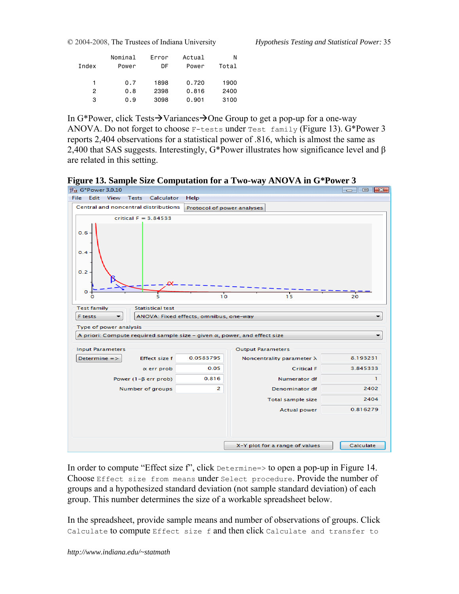|       | Nominal | Error | Actual | Ν     |
|-------|---------|-------|--------|-------|
| Index | Power   | DF    | Power  | Total |
|       |         |       |        |       |
| 1     | 0.7     | 1898  | 0.720  | 1900  |
| 2     | 0.8     | 2398  | 0.816  | 2400  |
| 3     | 0.9     | 3098  | 0.901  | 3100  |
|       |         |       |        |       |

In G\*Power, click Tests $\rightarrow$ Variances $\rightarrow$ One Group to get a pop-up for a one-way ANOVA. Do not forget to choose F-tests under Test family (Figure 13). G\*Power 3 reports 2,404 observations for a statistical power of .816, which is almost the same as 2,400 that SAS suggests. Interestingly, G\*Power illustrates how significance level and β are related in this setting.

**Figure 13. Sample Size Computation for a Two-way ANOVA in G\*Power 3** 



In order to compute "Effect size f", click Determine=> to open a pop-up in Figure 14. Choose Effect size from means under Select procedure. Provide the number of groups and a hypothesized standard deviation (not sample standard deviation) of each group. This number determines the size of a workable spreadsheet below.

In the spreadsheet, provide sample means and number of observations of groups. Click Calculate to compute Effect size f and then click Calculate and transfer to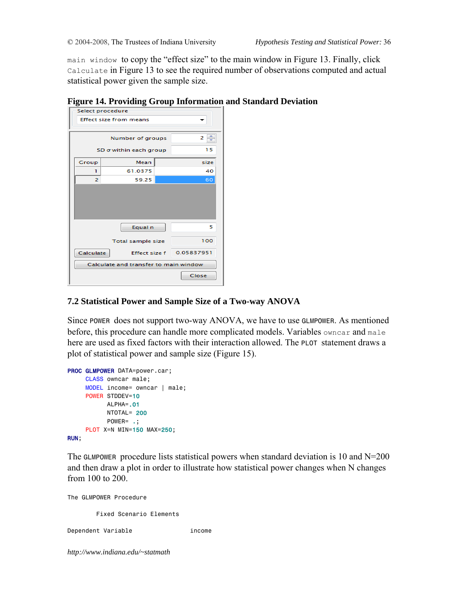main window to copy the "effect size" to the main window in Figure 13. Finally, click Calculate in Figure 13 to see the required number of observations computed and actual statistical power given the sample size.

| 8                      | -9<br>Select procedure                | -~-r |            |
|------------------------|---------------------------------------|------|------------|
|                        | <b>Effect size from means</b>         |      |            |
|                        |                                       |      |            |
|                        | Number of groups                      |      | 2          |
| SD o within each group |                                       |      | 15         |
| Group                  | Mean                                  |      | size       |
| ı                      | 61.0375                               |      | 40         |
| 2                      | 59.25                                 |      | 60         |
|                        |                                       |      |            |
|                        | Equal n                               |      | 5          |
|                        | <b>Total sample size</b>              |      | 100        |
| Calculate              | <b>Effect size f</b>                  |      | 0.05837951 |
|                        | Calculate and transfer to main window |      |            |
|                        |                                       |      | Close      |

### **Figure 14. Providing Group Information and Standard Deviation**

## **7.2 Statistical Power and Sample Size of a Two-way ANOVA**

Since POWER does not support two-way ANOVA, we have to use GLMPOWER. As mentioned before, this procedure can handle more complicated models. Variables owncar and male here are used as fixed factors with their interaction allowed. The PLOT statement draws a plot of statistical power and sample size (Figure 15).

```
PROC GLMPOWER DATA=power.car;
      CLASS owncar male; 
      MODEL income= owncar | male; 
      POWER STDDEV=10
            ALPHA=.01
            NTOTAL= 200
           POWER= .;
      PLOT X=N MIN=150 MAX=250; 
RUN;
```
The GLMPOWER procedure lists statistical powers when standard deviation is 10 and  $N=200$ and then draw a plot in order to illustrate how statistical power changes when N changes from 100 to 200.

The GLMPOWER Procedure Fixed Scenario Elements

Dependent Variable income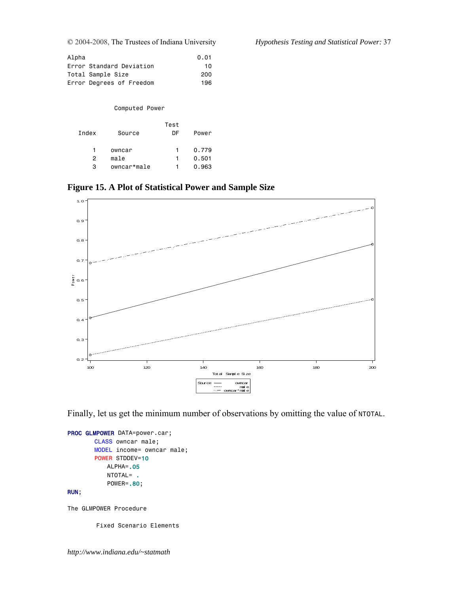| Alpha                    | 0.01 |
|--------------------------|------|
| Error Standard Deviation | 10   |
| Total Sample Size        | 200  |
| Error Degrees of Freedom | 196  |

Computed Power

| Index | Source      | Test<br>DF | Power |
|-------|-------------|------------|-------|
|       | owncar      |            | 0.779 |
| 2     | male        |            | 0.501 |
| з     | owncar*male |            | 0.963 |

**Figure 15. A Plot of Statistical Power and Sample Size** 



Finally, let us get the minimum number of observations by omitting the value of NTOTAL.

```
PROC GLMPOWER DATA=power.car;
       CLASS owncar male; 
       MODEL income= owncar male; 
       POWER STDDEV=10
            ALPHA=.05
            NTOTAL= .
            POWER=.80;
```
RUN;

The GLMPOWER Procedure

Fixed Scenario Elements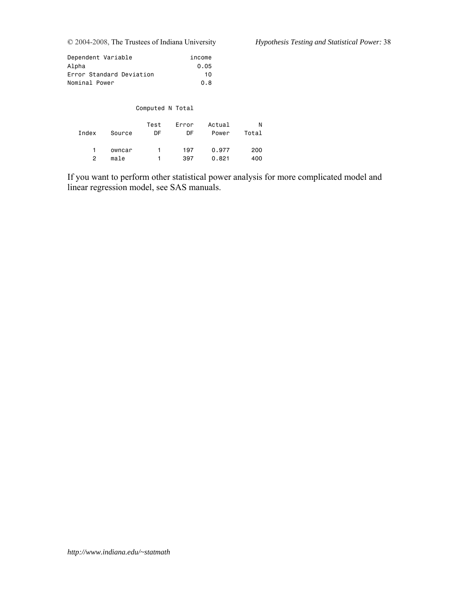| Dependent Variable       | income |
|--------------------------|--------|
| Alpha                    | 0.05   |
| Error Standard Deviation | 10     |
| Nominal Power            | 0.8    |

|       |        | Computed N Total |             |                 |            |
|-------|--------|------------------|-------------|-----------------|------------|
| Index | Source | Test<br>DF       | Error<br>DF | Actual<br>Power | N<br>Total |
|       | owncar | $\mathbf{1}$     | 197         | 0.977           | 200        |

2 male 1 397 0.821 400

If you want to perform other statistical power analysis for more complicated model and linear regression model, see SAS manuals.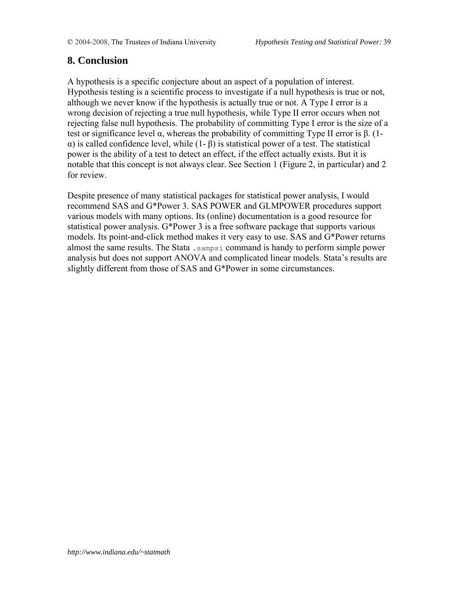# **8. Conclusion**

A hypothesis is a specific conjecture about an aspect of a population of interest. Hypothesis testing is a scientific process to investigate if a null hypothesis is true or not, although we never know if the hypothesis is actually true or not. A Type I error is a wrong decision of rejecting a true null hypothesis, while Type II error occurs when not rejecting false null hypothesis. The probability of committing Type I error is the size of a test or significance level α, whereas the probability of committing Type II error is  $β$ . (1α) is called confidence level, while (1- β) is statistical power of a test. The statistical power is the ability of a test to detect an effect, if the effect actually exists. But it is notable that this concept is not always clear. See Section 1 (Figure 2, in particular) and 2 for review.

Despite presence of many statistical packages for statistical power analysis, I would recommend SAS and G\*Power 3. SAS POWER and GLMPOWER procedures support various models with many options. Its (online) documentation is a good resource for statistical power analysis. G\*Power 3 is a free software package that supports various models. Its point-and-click method makes it very easy to use. SAS and G\*Power returns almost the same results. The Stata .sampsi command is handy to perform simple power analysis but does not support ANOVA and complicated linear models. Stata's results are slightly different from those of SAS and G\*Power in some circumstances.